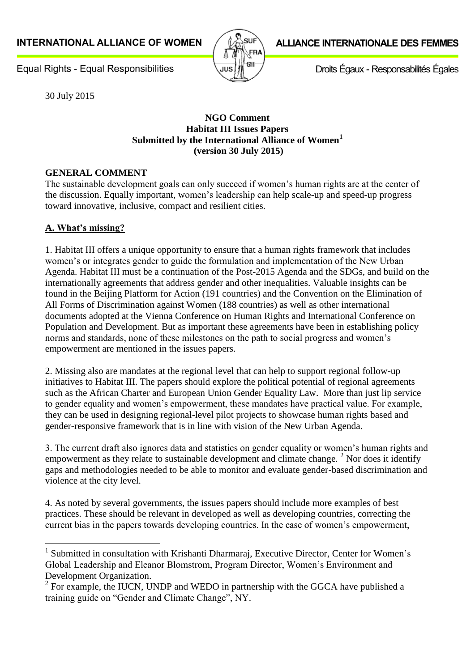

# **ALLIANCE INTERNATIONALE DES FEMMES**

Droits Égaux - Responsabilités Égales

**Equal Rights - Equal Responsibilities** 

30 July 2015

### **NGO Comment Habitat III Issues Papers Submitted by the International Alliance of Women<sup>1</sup> (version 30 July 2015)**

# **GENERAL COMMENT**

The sustainable development goals can only succeed if women's human rights are at the center of the discussion. Equally important, women's leadership can help scale-up and speed-up progress toward innovative, inclusive, compact and resilient cities.

# **A. What's missing?**

1

1. Habitat III offers a unique opportunity to ensure that a human rights framework that includes women's or integrates gender to guide the formulation and implementation of the New Urban Agenda. Habitat III must be a continuation of the Post-2015 Agenda and the SDGs, and build on the internationally agreements that address gender and other inequalities. Valuable insights can be found in the Beijing Platform for Action (191 countries) and the Convention on the Elimination of All Forms of Discrimination against Women (188 countries) as well as other international documents adopted at the Vienna Conference on Human Rights and International Conference on Population and Development. But as important these agreements have been in establishing policy norms and standards, none of these milestones on the path to social progress and women's empowerment are mentioned in the issues papers.

2. Missing also are mandates at the regional level that can help to support regional follow-up initiatives to Habitat III. The papers should explore the political potential of regional agreements such as the African Charter and European Union Gender Equality Law. More than just lip service to gender equality and women's empowerment, these mandates have practical value. For example, they can be used in designing regional-level pilot projects to showcase human rights based and gender-responsive framework that is in line with vision of the New Urban Agenda.

3. The current draft also ignores data and statistics on gender equality or women's human rights and empowerment as they relate to sustainable development and climate change.  $2$  Nor does it identify gaps and methodologies needed to be able to monitor and evaluate gender-based discrimination and violence at the city level.

4. As noted by several governments, the issues papers should include more examples of best practices. These should be relevant in developed as well as developing countries, correcting the current bias in the papers towards developing countries. In the case of women's empowerment,

<sup>&</sup>lt;sup>1</sup> Submitted in consultation with Krishanti Dharmaraj, Executive Director, Center for Women's Global Leadership and Eleanor Blomstrom, Program Director, Women's Environment and Development Organization.

 $2^2$  For example, the IUCN, UNDP and WEDO in partnership with the GGCA have published a training guide on "Gender and Climate Change", NY.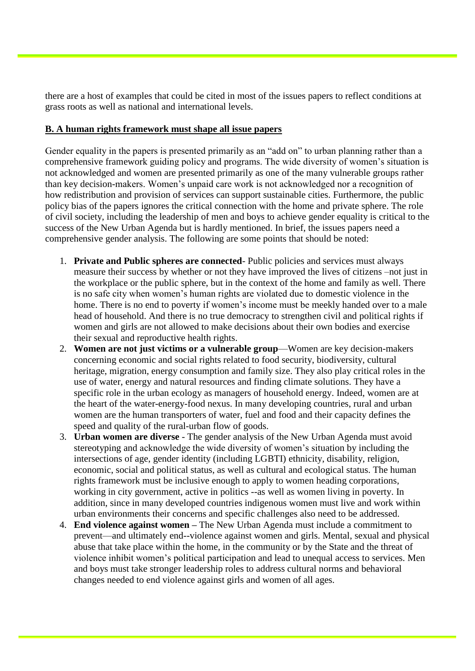there are a host of examples that could be cited in most of the issues papers to reflect conditions at grass roots as well as national and international levels.

### **B. A human rights framework must shape all issue papers**

Gender equality in the papers is presented primarily as an "add on" to urban planning rather than a comprehensive framework guiding policy and programs. The wide diversity of women's situation is not acknowledged and women are presented primarily as one of the many vulnerable groups rather than key decision-makers. Women's unpaid care work is not acknowledged nor a recognition of how redistribution and provision of services can support sustainable cities. Furthermore, the public policy bias of the papers ignores the critical connection with the home and private sphere. The role of civil society, including the leadership of men and boys to achieve gender equality is critical to the success of the New Urban Agenda but is hardly mentioned. In brief, the issues papers need a comprehensive gender analysis. The following are some points that should be noted:

- 1. **Private and Public spheres are connected** Public policies and services must always measure their success by whether or not they have improved the lives of citizens –not just in the workplace or the public sphere, but in the context of the home and family as well. There is no safe city when women's human rights are violated due to domestic violence in the home. There is no end to poverty if women's income must be meekly handed over to a male head of household. And there is no true democracy to strengthen civil and political rights if women and girls are not allowed to make decisions about their own bodies and exercise their sexual and reproductive health rights.
- 2. **Women are not just victims or a vulnerable group**—Women are key decision-makers concerning economic and social rights related to food security, biodiversity, cultural heritage, migration, energy consumption and family size. They also play critical roles in the use of water, energy and natural resources and finding climate solutions. They have a specific role in the urban ecology as managers of household energy. Indeed, women are at the heart of the water-energy-food nexus. In many developing countries, rural and urban women are the human transporters of water, fuel and food and their capacity defines the speed and quality of the rural-urban flow of goods.
- 3. **Urban women are diverse** The gender analysis of the New Urban Agenda must avoid stereotyping and acknowledge the wide diversity of women's situation by including the intersections of age, gender identity (including LGBTI) ethnicity, disability, religion, economic, social and political status, as well as cultural and ecological status. The human rights framework must be inclusive enough to apply to women heading corporations, working in city government, active in politics --as well as women living in poverty. In addition, since in many developed countries indigenous women must live and work within urban environments their concerns and specific challenges also need to be addressed.
- 4. **End violence against women –** The New Urban Agenda must include a commitment to prevent—and ultimately end--violence against women and girls. Mental, sexual and physical abuse that take place within the home, in the community or by the State and the threat of violence inhibit women's political participation and lead to unequal access to services. Men and boys must take stronger leadership roles to address cultural norms and behavioral changes needed to end violence against girls and women of all ages.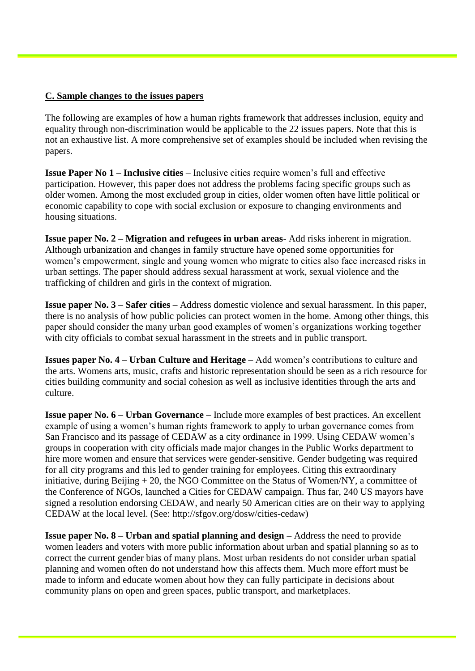### **C. Sample changes to the issues papers**

The following are examples of how a human rights framework that addresses inclusion, equity and equality through non-discrimination would be applicable to the 22 issues papers. Note that this is not an exhaustive list. A more comprehensive set of examples should be included when revising the papers.

**Issue Paper No 1 – Inclusive cities** – Inclusive cities require women's full and effective participation. However, this paper does not address the problems facing specific groups such as older women. Among the most excluded group in cities, older women often have little political or economic capability to cope with social exclusion or exposure to changing environments and housing situations.

**Issue paper No. 2 – Migration and refugees in urban areas**- Add risks inherent in migration. Although urbanization and changes in family structure have opened some opportunities for women's empowerment, single and young women who migrate to cities also face increased risks in urban settings. The paper should address sexual harassment at work, sexual violence and the trafficking of children and girls in the context of migration.

**Issue paper No. 3 – Safer cities –** Address domestic violence and sexual harassment. In this paper, there is no analysis of how public policies can protect women in the home. Among other things, this paper should consider the many urban good examples of women's organizations working together with city officials to combat sexual harassment in the streets and in public transport.

**Issues paper No. 4 – Urban Culture and Heritage –** Add women's contributions to culture and the arts. Womens arts, music, crafts and historic representation should be seen as a rich resource for cities building community and social cohesion as well as inclusive identities through the arts and culture.

**Issue paper No. 6 – Urban Governance –** Include more examples of best practices. An excellent example of using a women's human rights framework to apply to urban governance comes from San Francisco and its passage of CEDAW as a city ordinance in 1999. Using CEDAW women's groups in cooperation with city officials made major changes in the Public Works department to hire more women and ensure that services were gender-sensitive. Gender budgeting was required for all city programs and this led to gender training for employees. Citing this extraordinary initiative, during Beijing  $+20$ , the NGO Committee on the Status of Women/NY, a committee of the Conference of NGOs, launched a Cities for CEDAW campaign. Thus far, 240 US mayors have signed a resolution endorsing CEDAW, and nearly 50 American cities are on their way to applying CEDAW at the local level. (See: http://sfgov.org/dosw/cities-cedaw)

**Issue paper No. 8 – Urban and spatial planning and design –** Address the need to provide women leaders and voters with more public information about urban and spatial planning so as to correct the current gender bias of many plans. Most urban residents do not consider urban spatial planning and women often do not understand how this affects them. Much more effort must be made to inform and educate women about how they can fully participate in decisions about community plans on open and green spaces, public transport, and marketplaces.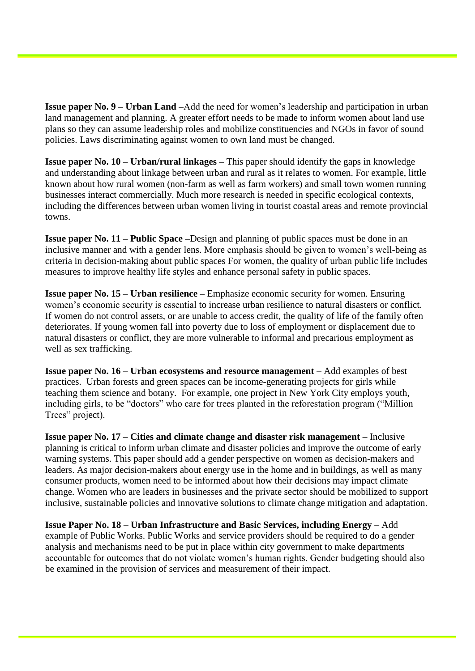**Issue paper No. 9 – Urban Land –**Add the need for women's leadership and participation in urban land management and planning. A greater effort needs to be made to inform women about land use plans so they can assume leadership roles and mobilize constituencies and NGOs in favor of sound policies. Laws discriminating against women to own land must be changed.

**Issue paper No. 10 – Urban/rural linkages –** This paper should identify the gaps in knowledge and understanding about linkage between urban and rural as it relates to women. For example, little known about how rural women (non-farm as well as farm workers) and small town women running businesses interact commercially. Much more research is needed in specific ecological contexts, including the differences between urban women living in tourist coastal areas and remote provincial towns.

**Issue paper No. 11 – Public Space –**Design and planning of public spaces must be done in an inclusive manner and with a gender lens. More emphasis should be given to women's well-being as criteria in decision-making about public spaces For women, the quality of urban public life includes measures to improve healthy life styles and enhance personal safety in public spaces.

**Issue paper No. 15 – Urban resilience –** Emphasize economic security for women. Ensuring women's economic security is essential to increase urban resilience to natural disasters or conflict. If women do not control assets, or are unable to access credit, the quality of life of the family often deteriorates. If young women fall into poverty due to loss of employment or displacement due to natural disasters or conflict, they are more vulnerable to informal and precarious employment as well as sex trafficking.

**Issue paper No. 16 – Urban ecosystems and resource management –** Add examples of best practices. Urban forests and green spaces can be income-generating projects for girls while teaching them science and botany. For example, one project in New York City employs youth, including girls, to be "doctors" who care for trees planted in the reforestation program ("Million Trees" project).

**Issue paper No. 17 – Cities and climate change and disaster risk management –** Inclusive planning is critical to inform urban climate and disaster policies and improve the outcome of early warning systems. This paper should add a gender perspective on women as decision-makers and leaders. As major decision-makers about energy use in the home and in buildings, as well as many consumer products, women need to be informed about how their decisions may impact climate change. Women who are leaders in businesses and the private sector should be mobilized to support inclusive, sustainable policies and innovative solutions to climate change mitigation and adaptation.

**Issue Paper No. 18 – Urban Infrastructure and Basic Services, including Energy –** Add example of Public Works. Public Works and service providers should be required to do a gender analysis and mechanisms need to be put in place within city government to make departments accountable for outcomes that do not violate women's human rights. Gender budgeting should also be examined in the provision of services and measurement of their impact.